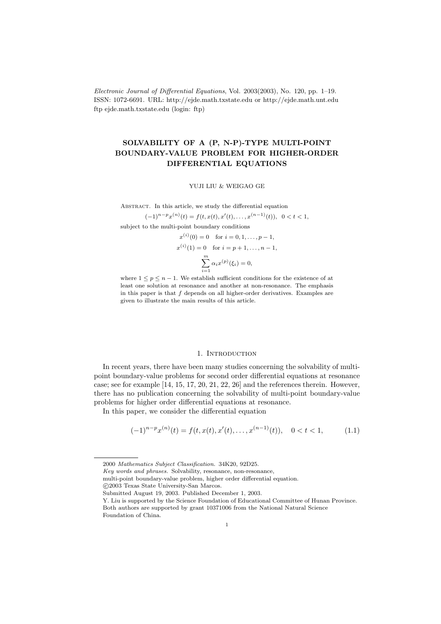Electronic Journal of Differential Equations, Vol. 2003(2003), No. 120, pp. 1–19. ISSN: 1072-6691. URL: http://ejde.math.txstate.edu or http://ejde.math.unt.edu ftp ejde.math.txstate.edu (login: ftp)

# SOLVABILITY OF A (P, N-P)-TYPE MULTI-POINT BOUNDARY-VALUE PROBLEM FOR HIGHER-ORDER DIFFERENTIAL EQUATIONS

### YUJI LIU & WEIGAO GE

ABSTRACT. In this article, we study the differential equation

 $(-1)^{n-p}x^{(n)}(t) = f(t, x(t), x'(t), \dots, x^{(n-1)}(t)), \ \ 0 < t < 1,$ subject to the multi-point boundary conditions  $\langle i \rangle$  is  $\langle i \rangle$ 

$$
x^{(i)}(0) = 0 \text{ for } i = 0, 1, ..., p - 1,
$$
  
\n
$$
x^{(i)}(1) = 0 \text{ for } i = p + 1, ..., n - 1,
$$
  
\n
$$
\sum_{i=1}^{m} \alpha_i x^{(p)}(\xi_i) = 0,
$$

where  $1 \leq p \leq n-1$ . We establish sufficient conditions for the existence of at least one solution at resonance and another at non-resonance. The emphasis in this paper is that  $f$  depends on all higher-order derivatives. Examples are given to illustrate the main results of this article.

### 1. INTRODUCTION

In recent years, there have been many studies concerning the solvability of multipoint boundary-value problems for second order differential equations at resonance case; see for example [14, 15, 17, 20, 21, 22, 26] and the references therein. However, there has no publication concerning the solvability of multi-point boundary-value problems for higher order differential equations at resonance.

In this paper, we consider the differential equation

$$
(-1)^{n-p}x^{(n)}(t) = f(t, x(t), x'(t), \dots, x^{(n-1)}(t)), \quad 0 < t < 1,\tag{1.1}
$$

multi-point boundary-value problem, higher order differential equation.

<sup>2000</sup> Mathematics Subject Classification. 34K20, 92D25.

Key words and phrases. Solvability, resonance, non-resonance,

c 2003 Texas State University-San Marcos.

Submitted August 19, 2003. Published December 1, 2003.

Y. Liu is supported by the Science Foundation of Educational Committee of Hunan Province. Both authors are supported by grant 10371006 from the National Natural Science Foundation of China.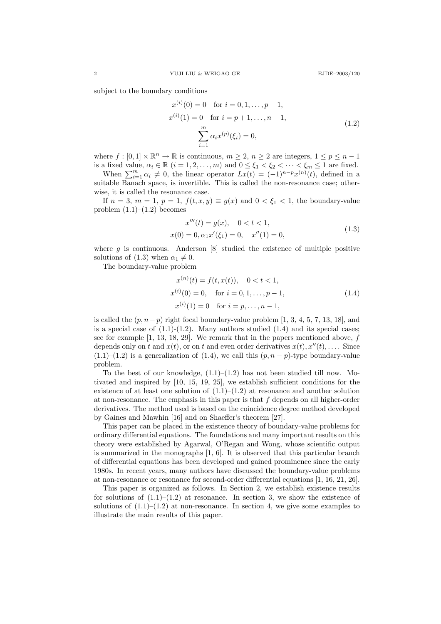subject to the boundary conditions

$$
x^{(i)}(0) = 0 \text{ for } i = 0, 1, ..., p - 1,
$$
  
\n
$$
x^{(i)}(1) = 0 \text{ for } i = p + 1, ..., n - 1,
$$
  
\n
$$
\sum_{i=1}^{m} \alpha_i x^{(p)}(\xi_i) = 0,
$$
\n(1.2)

where  $f : [0,1] \times \mathbb{R}^n \to \mathbb{R}$  is continuous,  $m \geq 2$ ,  $n \geq 2$  are integers,  $1 \leq p \leq n-1$ is a fixed value,  $\alpha_i \in \mathbb{R}$   $(i = 1, 2, \ldots, m)$  and  $0 \le \xi_1 < \xi_2 < \cdots < \xi_m \le 1$  are fixed.

When  $\sum_{i=1}^{m} \alpha_i \neq 0$ , the linear operator  $Lx(t) = (-1)^{n-p}x^{(n)}(t)$ , defined in a suitable Banach space, is invertible. This is called the non-resonance case; otherwise, it is called the resonance case.

If  $n = 3$ ,  $m = 1$ ,  $p = 1$ ,  $f(t, x, y) \equiv g(x)$  and  $0 < \xi_1 < 1$ , the boundary-value problem  $(1.1)$ – $(1.2)$  becomes

$$
x'''(t) = g(x), \quad 0 < t < 1,
$$
  
\n
$$
x(0) = 0, \alpha_1 x'(\xi_1) = 0, \quad x''(1) = 0,
$$
\n(1.3)

where  $g$  is continuous. Anderson  $[8]$  studied the existence of multiple positive solutions of (1.3) when  $\alpha_1 \neq 0$ .

The boundary-value problem

$$
x^{(n)}(t) = f(t, x(t)), \quad 0 < t < 1,
$$
  
\n
$$
x^{(i)}(0) = 0, \quad \text{for } i = 0, 1, ..., p - 1,
$$
  
\n
$$
x^{(i)}(1) = 0 \quad \text{for } i = p, ..., n - 1,
$$
\n(1.4)

is called the  $(p, n-p)$  right focal boundary-value problem [1, 3, 4, 5, 7, 13, 18], and is a special case of  $(1.1)-(1.2)$ . Many authors studied  $(1.4)$  and its special cases; see for example  $[1, 13, 18, 29]$ . We remark that in the papers mentioned above,  $f$ depends only on t and  $x(t)$ , or on t and even order derivatives  $x(t), x''(t), \ldots$ . Since  $(1.1)$ – $(1.2)$  is a generalization of  $(1.4)$ , we call this  $(p, n - p)$ -type boundary-value problem.

To the best of our knowledge,  $(1.1)$ – $(1.2)$  has not been studied till now. Motivated and inspired by [10, 15, 19, 25], we establish sufficient conditions for the existence of at least one solution of  $(1.1)$ – $(1.2)$  at resonance and another solution at non-resonance. The emphasis in this paper is that  $f$  depends on all higher-order derivatives. The method used is based on the coincidence degree method developed by Gaines and Mawhin [16] and on Shaeffer's theorem [27].

This paper can be placed in the existence theory of boundary-value problems for ordinary differential equations. The foundations and many important results on this theory were established by Agarwal, O'Regan and Wong, whose scientific output is summarized in the monographs [1, 6]. It is observed that this particular branch of differential equations has been developed and gained prominence since the early 1980s. In recent years, many authors have discussed the boundary-value problems at non-resonance or resonance for second-order differential equations [1, 16, 21, 26].

This paper is organized as follows. In Section 2, we establish existence results for solutions of  $(1.1)$ – $(1.2)$  at resonance. In section 3, we show the existence of solutions of  $(1.1)$ – $(1.2)$  at non-resonance. In section 4, we give some examples to illustrate the main results of this paper.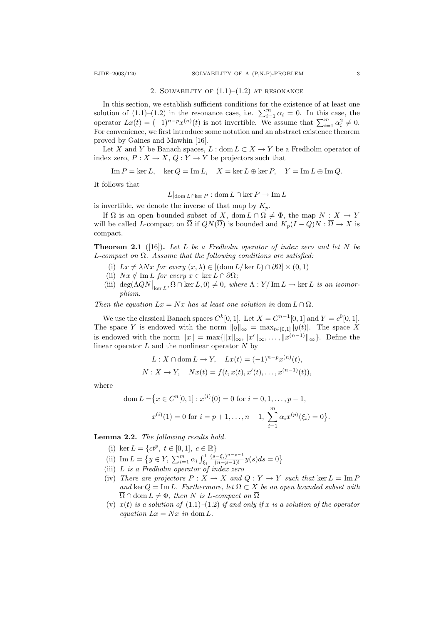#### 2. SOLVABILITY OF  $(1.1)$ – $(1.2)$  at resonance

In this section, we establish sufficient conditions for the existence of at least one solution of  $(1.1)$ – $(1.2)$  in the resonance case, i.e.  $\sum_{i=1}^{m} \alpha_i = 0$ . In this case, the operator  $Lx(t) = (-1)^{n-p}x^{(n)}(t)$  is not invertible. We assume that  $\sum_{i=1}^{m} \alpha_i^2 \neq 0$ . For convenience, we first introduce some notation and an abstract existence theorem proved by Gaines and Mawhin [16].

Let X and Y be Banach spaces,  $L : dom L \subset X \to Y$  be a Fredholm operator of index zero,  $P: X \to X$ ,  $Q: Y \to Y$  be projectors such that

$$
\operatorname{Im} P = \ker L
$$
,  $\ker Q = \operatorname{Im} L$ ,  $X = \ker L \oplus \ker P$ ,  $Y = \operatorname{Im} L \oplus \operatorname{Im} Q$ .

It follows that

$$
L|_{\text{dom }L \cap \text{ker }P} : \text{dom }L \cap \text{ker }P \to \text{Im }L
$$

is invertible, we denote the inverse of that map by  $K_p$ .

If  $\Omega$  is an open bounded subset of X, dom  $L \cap \overline{\Omega} \neq \Phi$ , the map  $N : X \to Y$ will be called L-compact on  $\overline{\Omega}$  if  $QN(\overline{\Omega})$  is bounded and  $K_p(I-Q)N:\overline{\Omega} \to X$  is compact.

**Theorem 2.1** ([16]). Let L be a Fredholm operator of index zero and let N be L-compact on  $\Omega$ . Assume that the following conditions are satisfied:

- (i)  $Lx \neq \lambda Nx$  for every  $(x, \lambda) \in [(\text{dom } L/\text{ker } L) \cap \partial \Omega] \times (0, 1)$
- (ii)  $Nx \notin \text{Im } L$  for every  $x \in \ker L \cap \partial \Omega$ ;
- (iii)  $\deg(\Lambda QN|_{\ker L}, \Omega \cap \ker L, 0) \neq 0$ , where  $\Lambda : Y/\operatorname{Im} L \to \ker L$  is an isomorphism.

Then the equation  $Lx = Nx$  has at least one solution in dom  $L \cap \overline{\Omega}$ .

We use the classical Banach spaces  $C^k[0,1]$ . Let  $X = C^{n-1}[0,1]$  and  $Y = c^0[0,1]$ . The space Y is endowed with the norm  $||y||_{\infty} = \max_{t \in [0,1]} |y(t)|$ . The space X is endowed with the norm  $||x|| = \max{||x||_{\infty}, ||x'||_{\infty}, \ldots, ||x^{(n-1)}||_{\infty}}$ . Define the linear operator  $L$  and the nonlinear operator  $N$  by

$$
L: X \cap \text{dom } L \to Y, \quad Lx(t) = (-1)^{n-p} x^{(n)}(t),
$$
  

$$
N: X \to Y, \quad Nx(t) = f(t, x(t), x'(t), \dots, x^{(n-1)}(t)),
$$

where

dom 
$$
L = \{x \in C^n[0, 1] : x^{(i)}(0) = 0 \text{ for } i = 0, 1, ..., p - 1,
$$
  

$$
x^{(i)}(1) = 0 \text{ for } i = p + 1, ..., n - 1, \sum_{i=1}^m \alpha_i x^{(p)}(\xi_i) = 0\}.
$$

Lemma 2.2. The following results hold.

- (i) ker  $L = \{ct^p, t \in [0, 1], c \in \mathbb{R}\}\$
- (ii) Im  $L = \{ y \in Y, \sum_{i=1}^{m} \alpha_i \int_{\xi_i}^{1} \xi_i \}$  $\frac{(s-\xi_i)^{n-p-1}}{(n-p-1)!}y(s)ds=0$
- (iii) L is a Fredholm operator of index zero
- (iv) There are projectors  $P: X \to X$  and  $Q: Y \to Y$  such that ker  $L = \text{Im } P$ and ker  $Q = \text{Im } L$ . Furthermore, let  $\Omega \subset X$  be an open bounded subset with  $\Omega \cap \text{dom } L \neq \Phi$ , then N is L-compact on  $\Omega$
- (v)  $x(t)$  is a solution of  $(1.1)$ – $(1.2)$  if and only if x is a solution of the operator equation  $Lx = Nx$  in dom L.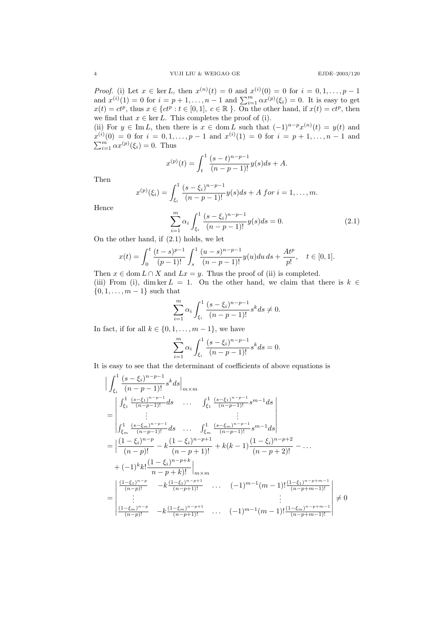*Proof.* (i) Let  $x \in \text{ker } L$ , then  $x^{(n)}(t) = 0$  and  $x^{(i)}(0) = 0$  for  $i = 0, 1, ..., p - 1$ and  $x^{(i)}(1) = 0$  for  $i = p + 1, ..., n - 1$  and  $\sum_{i=1}^{m} \alpha x^{(p)}(\xi_i) = 0$ . It is easy to get  $x(t) = ct^p$ , thus  $x \in \{ct^p : t \in [0,1], c \in \mathbb{R}\}\.$  On the other hand, if  $x(t) = ct^p$ , then we find that  $x \in \ker L$ . This completes the proof of (i).

(ii) For  $y \in \text{Im } L$ , then there is  $x \in \text{dom } L$  such that  $(-1)^{n-p}x^{(n)}(t) = y(t)$  and  $x^{(i)}(0) = 0$  for  $i = 0, 1, ..., p - 1$  and  $x^{(i)}(1) = 0$  for  $i = p + 1, ..., n - 1$  and  $\sum_{i=1}^{m} \alpha x^{(p)}(\xi_i) = 0$ . Thus

$$
x^{(p)}(t) = \int_{t}^{1} \frac{(s-t)^{n-p-1}}{(n-p-1)!} y(s)ds + A.
$$

Then

$$
x^{(p)}(\xi_i) = \int_{\xi_i}^1 \frac{(s-\xi_i)^{n-p-1}}{(n-p-1)!} y(s) ds + A \text{ for } i = 1, ..., m.
$$

Hence

$$
\sum_{i=1}^{m} \alpha_i \int_{\xi_i}^{1} \frac{(s-\xi_i)^{n-p-1}}{(n-p-1)!} y(s) ds = 0.
$$
 (2.1)

On the other hand, if (2.1) holds, we let

$$
x(t) = \int_0^t \frac{(t-s)^{p-1}}{(p-1)!} \int_s^1 \frac{(u-s)^{n-p-1}}{(n-p-1)!} y(u) du ds + \frac{At^p}{p!}, \quad t \in [0,1].
$$

Then  $x \in \text{dom } L \cap X$  and  $Lx = y$ . Thus the proof of (ii) is completed. (iii) From (i), dim ker  $L = 1$ . On the other hand, we claim that there is  $k \in$  ${0, 1, \ldots, m-1}$  such that

$$
\sum_{i=1}^{m} \alpha_i \int_{\xi_i}^{1} \frac{(s-\xi_i)^{n-p-1}}{(n-p-1)!} s^k ds \neq 0.
$$

In fact, if for all  $k \in \{0, 1, \ldots, m-1\}$ , we have

$$
\sum_{i=1}^{m} \alpha_i \int_{\xi_i}^{1} \frac{(s-\xi_i)^{n-p-1}}{(n-p-1)!} s^k ds = 0.
$$

It is easy to see that the determinant of coefficients of above equations is

$$
\begin{split}\n&\left|\int_{\xi_{i}}^{1} \frac{(s-\xi_{i})^{n-p-1}}{(n-p-1)!} s^{k} ds\right|_{m \times m} \\
&= \begin{vmatrix}\n\int_{\xi_{1}}^{1} \frac{(s-\xi_{1})^{n-p-1}}{(n-p-1)!} ds & \cdots & \int_{\xi_{1}}^{1} \frac{(s-\xi_{1})^{n-p-1}}{(n-p-1)!} s^{m-1} ds \\
\vdots & \vdots \\
\int_{\xi_{m}}^{1} \frac{(s-\xi_{m})^{n-p-1}}{(n-p-1)!} ds & \cdots & \int_{\xi_{m}}^{1} \frac{(s-\xi_{m})^{n-p-1}}{(n-p-1)!} s^{m-1} ds\n\end{vmatrix} \\
&= \left|\frac{(1-\xi_{i})^{n-p}}{(n-p)!} - k \frac{(1-\xi_{i})^{n-p+1}}{(n-p+1)!} + k(k-1) \frac{(1-\xi_{i})^{n-p+2}}{(n-p+2)!} - \cdots\n\right. \\
&+ (-1)^{k} k! \frac{(1-\xi_{i})^{n-p+k}}{n-p+k} \right|_{m \times m} \\
&= \begin{vmatrix}\n\frac{(1-\xi_{1})^{n-p}}{(n-p)!} & -k \frac{(1-\xi_{1})^{n-p+1}}{(n-p+1)!} & \cdots & (-1)^{m-1} (m-1)! \frac{(1-\xi_{1})^{n-p+m-1}}{(n-p+m-1)!} \\
\vdots & \vdots \\
\frac{(1-\xi_{m})^{n-p}}{(n-p)!} & -k \frac{(1-\xi_{m})^{n-p+1}}{(n-p+1)!} & \cdots & (-1)^{m-1} (m-1)! \frac{(1-\xi_{m})^{n-p+m-1}}{(n-p+m-1)!}\n\end{vmatrix} \neq 0\n\end{split}
$$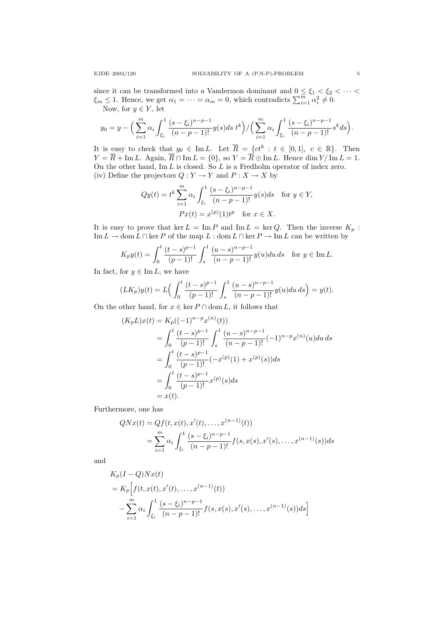since it can be transformed into a Vandermon dominant and  $0 \leq \xi_1 < \xi_2 < \cdots$  $\xi_m \leq 1$ . Hence, we get  $\alpha_1 = \cdots = \alpha_m = 0$ , which contradicts  $\sum_{i=1}^m \alpha_i^2 \neq 0$ . Now, for  $y \in Y$ , let

$$
y_0 = y - \Big(\sum_{i=1}^m \alpha_i \int_{\xi_i}^1 \frac{(s-\xi_i)^{n-p-1}}{(n-p-1)!} y(s) ds t^k\Big) / \Big(\sum_{i=1}^m \alpha_i \int_{\xi_i}^1 \frac{(s-\xi_i)^{n-p-1}}{(n-p-1)!} s^k ds\Big).
$$

It is easy to check that  $y_0 \in \text{Im } L$ . Let  $\overline{R} = \{ct^k : t \in [0,1], c \in \mathbb{R}\}$ . Then  $Y = R + \text{Im } L$ . Again,  $R \cap \text{Im } L = \{0\}$ , so  $Y = R \oplus \text{Im } L$ . Hence dim  $Y/\text{Im } L = 1$ . On the other hand,  $\text{Im } L$  is closed. So L is a Fredholm operator of index zero. (iv) Define the projectors  $Q: Y \to Y$  and  $P: X \to X$  by

$$
Qy(t) = t^k \sum_{i=1}^m \alpha_i \int_{\xi_i}^1 \frac{(s - \xi_i)^{n-p-1}}{(n-p-1)!} y(s) ds \text{ for } y \in Y,
$$
  

$$
Px(t) = x^{(p)}(1)t^p \text{ for } x \in X.
$$

It is easy to prove that ker  $L = \text{Im } P$  and  $\text{Im } L = \text{ker } Q$ . Then the inverse  $K_p$ : Im  $L \to \text{dom } L \cap \ker P$  of the map  $L : \text{dom } L \cap \ker P \to \text{Im } L$  can be written by

$$
K_p y(t) = \int_0^t \frac{(t-s)^{p-1}}{(p-1)!} \int_s^1 \frac{(u-s)^{n-p-1}}{(n-p-1)!} y(u) du ds \text{ for } y \in \text{Im } L.
$$

In fact, for  $y \in \text{Im } L$ , we have

$$
(LK_p)y(t) = L\left(\int_0^t \frac{(t-s)^{p-1}}{(p-1)!} \int_s^1 \frac{(u-s)^{n-p-1}}{(n-p-1)!} y(u) du ds\right) = y(t).
$$

On the other hand, for  $x \in \text{ker } P \cap \text{dom } L$ , it follows that

$$
(K_p L)x(t) = K_p((-1)^{n-p}x^{(n)}(t))
$$
  
= 
$$
\int_0^t \frac{(t-s)^{p-1}}{(p-1)!} \int_s^1 \frac{(u-s)^{n-p-1}}{(n-p-1)!}(-1)^{n-p}x^{(n)}(u)du ds
$$
  
= 
$$
\int_0^t \frac{(t-s)^{p-1}}{(p-1)!}(-x^{(p)}(1) + x^{(p)}(s))ds
$$
  
= 
$$
\int_0^t \frac{(t-s)^{p-1}}{(p-1)!}x^{(p)}(s)ds
$$
  
= 
$$
x(t).
$$

Furthermore, one has

$$
QNx(t) = Qf(t, x(t), x'(t), \dots, x^{(n-1)}(t))
$$
  
= 
$$
\sum_{i=1}^{m} \alpha_i \int_{\xi_i}^{1} \frac{(s - \xi_i)^{n-p-1}}{(n-p-1)!} f(s, x(s), x'(s), \dots, x^{(n-1)}(s)) ds
$$

and

$$
K_p(I - Q)Nx(t)
$$
  
=  $K_p\Big[f(t, x(t), x'(t),..., x^{(n-1)}(t))$   

$$
-\sum_{i=1}^m \alpha_i \int_{\xi_i}^1 \frac{(s-\xi_i)^{n-p-1}}{(n-p-1)!} f(s, x(s), x'(s),..., x^{(n-1)}(s))ds\Big]
$$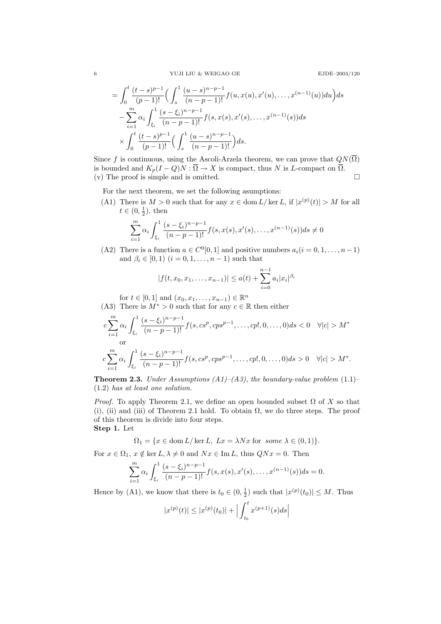6  $\hspace{15cm}$  YUJI LIU & WEIGAO GE

$$
= \int_0^t \frac{(t-s)^{p-1}}{(p-1)!} \Big( \int_s^1 \frac{(u-s)^{n-p-1}}{(n-p-1)!} f(u, x(u), x'(u), \dots, x^{(n-1)}(u)) du \Big) ds
$$
  

$$
- \sum_{i=1}^m \alpha_i \int_{\xi_i}^1 \frac{(s-\xi_i)^{n-p-1}}{(n-p-1)!} f(s, x(s), x'(s), \dots, x^{(n-1)}(s)) ds
$$
  

$$
\times \int_0^t \frac{(t-s)^{p-1}}{(p-1)!} \Big( \int_s^1 \frac{(u-s)^{n-p-1}}{(n-p-1)!} \Big) ds.
$$

Since f is continuous, using the Ascoli-Arzela theorem, we can prove that  $QN(\overline{\Omega})$ is bounded and  $K_p(I-Q)N:\overline{\Omega}\to X$  is compact, thus N is L-compact on  $\overline{\Omega}$ . (v) The proof is simple and is omitted.  $\square$ 

For the next theorem, we set the following asumptions:

(A1) There is  $M > 0$  such that for any  $x \in \text{dom } L / \ker L$ , if  $|x^{(p)}(t)| > M$  for all  $t \in (0, \frac{1}{2}),$  then

$$
\sum_{i=1}^{m} \alpha_i \int_{\xi_i}^{1} \frac{(s-\xi_i)^{n-p-1}}{(n-p-1)!} f(s, x(s), x'(s), \dots, x^{(n-1)}(s)) ds \neq 0
$$

(A2) There is a function  $a \in C^0[0,1]$  and positive numbers  $a_i(i = 0, 1, \ldots, n-1)$ and  $\beta_i \in [0, 1)$   $(i = 0, 1, \ldots, n - 1)$  such that

$$
|f(t, x_0, x_1, \dots, x_{n-1})| \le a(t) + \sum_{i=0}^{n-1} a_i |x_i|^{\beta_i}
$$

for  $t \in [0, 1]$  and  $(x_0, x_1, \ldots, x_{n-1}) \in \mathbb{R}^n$ 

(A3) There is  $M^* > 0$  such that for any  $c \in \mathbb{R}$  then either

$$
c\sum_{i=1}^{m} \alpha_i \int_{\xi_i}^1 \frac{(s-\xi_i)^{n-p-1}}{(n-p-1)!} f(s, cs^p, cps^{p-1}, \dots, c p!, 0, \dots, 0) ds < 0 \quad \forall |c| > M^*
$$
  
or  

$$
c\sum_{i=1}^{m} \alpha_i \int_{\xi_i}^1 \frac{(s-\xi_i)^{n-p-1}}{(n-p-1)!} f(s, cs^p, cps^{p-1}, \dots, c p!, 0, \dots, 0) ds > 0 \quad \forall |c| > M^*.
$$

**Theorem 2.3.** Under Assumptions (A1)–(A3), the boundary-value problem  $(1.1)$ – (1.2) has at least one solution.

*Proof.* To apply Theorem 2.1, we define an open bounded subset  $\Omega$  of X so that (i), (ii) and (iii) of Theorem 2.1 hold. To obtain  $\Omega$ , we do three steps. The proof of this theorem is divide into four steps. Step 1. Let

$$
\Omega_1 = \{ x \in \text{dom}\, L/\ker L, \ Lx = \lambda Nx \text{ for some } \lambda \in (0,1) \}.
$$

For  $x \in \Omega_1$ ,  $x \notin \text{ker } L$ ,  $\lambda \neq 0$  and  $Nx \in \text{Im } L$ , thus  $QNx = 0$ . Then

$$
\sum_{i=1}^{m} \alpha_i \int_{\xi_i}^{1} \frac{(s-\xi_i)^{n-p-1}}{(n-p-1)!} f(s, x(s), x'(s), \dots, x^{(n-1)}(s)) ds = 0.
$$

Hence by (A1), we know that there is  $t_0 \in (0, \frac{1}{2})$  such that  $|x^{(p)}(t_0)| \leq M$ . Thus

$$
|x^{(p)}(t)| \le |x^{(p)}(t_0)| + \Big| \int_{t_0}^t x^{(p+1)}(s)ds \Big|
$$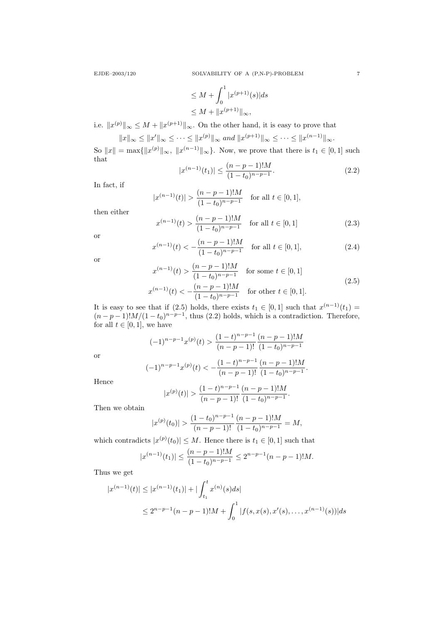EJDE–2003/120 SOLVABILITY OF A (P,N-P)-PROBLEM 7

$$
\leq M + \int_0^1 |x^{(p+1)}(s)| ds
$$
  

$$
\leq M + \|x^{(p+1)}\|_{\infty},
$$

i.e.  $||x^{(p)}||_{\infty} \leq M + ||x^{(p+1)}||_{\infty}$ . On the other hand, it is easy to prove that

$$
||x||_{\infty} \le ||x'||_{\infty} \le \cdots \le ||x^{(p)}||_{\infty}
$$
 and  $||x^{(p+1)}||_{\infty} \le \cdots \le ||x^{(n-1)}||_{\infty}$ .

So  $||x|| = \max{||x^{(p)}||_{\infty}, ||x^{(n-1)}||_{\infty}}$ . Now, we prove that there is  $t_1 \in [0,1]$  such that

$$
|x^{(n-1)}(t_1)| \le \frac{(n-p-1)!M}{(1-t_0)^{n-p-1}}.\tag{2.2}
$$

In fact, if

$$
|x^{(n-1)}(t)| > \frac{(n-p-1)!M}{(1-t_0)^{n-p-1}} \quad \text{for all } t \in [0,1],
$$

then either

$$
x^{(n-1)}(t) > \frac{(n-p-1)!M}{(1-t_0)^{n-p-1}} \quad \text{for all } t \in [0,1]
$$
 (2.3)

or

$$
x^{(n-1)}(t) < -\frac{(n-p-1)!M}{(1-t_0)^{n-p-1}} \quad \text{for all } t \in [0,1],\tag{2.4}
$$

or

$$
x^{(n-1)}(t) > \frac{(n-p-1)!M}{(1-t_0)^{n-p-1}} \quad \text{for some } t \in [0,1]
$$
  

$$
x^{(n-1)}(t) < -\frac{(n-p-1)!M}{(1-t_0)^{n-p-1}} \quad \text{for other } t \in [0,1].
$$
 (2.5)

It is easy to see that if (2.5) holds, there exists  $t_1 \in [0,1]$  such that  $x^{(n-1)}(t_1) =$  $(n-p-1)!M/(1-t_0)^{n-p-1}$ , thus (2.2) holds, which is a contradiction. Therefore, for all  $t \in [0, 1]$ , we have

$$
(-1)^{n-p-1}x^{(p)}(t) > \frac{(1-t)^{n-p-1}}{(n-p-1)!} \frac{(n-p-1)!M}{(1-t_0)^{n-p-1}}
$$

or

$$
(-1)^{n-p-1}x^{(p)}(t) < -\frac{(1-t)^{n-p-1}}{(n-p-1)!}\frac{(n-p-1)!M}{(1-t_0)^{n-p-1}}.
$$

Hence

$$
|x^{(p)}(t)| > \frac{(1-t)^{n-p-1}}{(n-p-1)!} \frac{(n-p-1)!M}{(1-t_0)^{n-p-1}}.
$$

Then we obtain

$$
|x^{(p)}(t_0)| > \frac{(1-t_0)^{n-p-1}}{(n-p-1)!} \frac{(n-p-1)!M}{(1-t_0)^{n-p-1}} = M,
$$

which contradicts  $|x^{(p)}(t_0)| \leq M$ . Hence there is  $t_1 \in [0,1]$  such that

$$
|x^{(n-1)}(t_1)| \le \frac{(n-p-1)!M}{(1-t_0)^{n-p-1}} \le 2^{n-p-1}(n-p-1)!M.
$$

Thus we get

$$
|x^{(n-1)}(t)| \le |x^{(n-1)}(t_1)| + |\int_{t_1}^t x^{(n)}(s)ds|
$$
  

$$
\le 2^{n-p-1}(n-p-1)!M + \int_0^1 |f(s,x(s),x'(s),\ldots,x^{(n-1)}(s))|ds
$$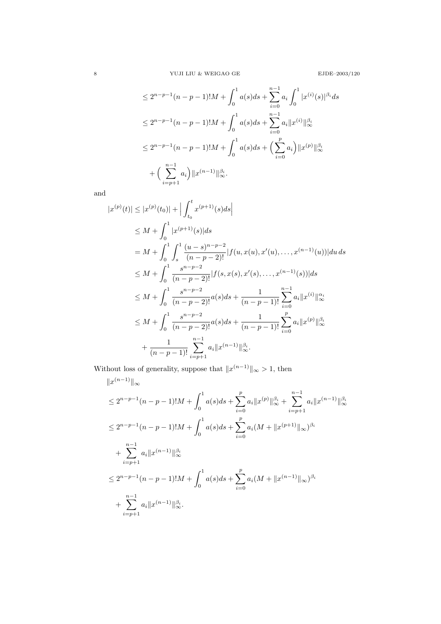$$
\leq 2^{n-p-1}(n-p-1)!M + \int_0^1 a(s)ds + \sum_{i=0}^{n-1} a_i \int_0^1 |x^{(i)}(s)|^{\beta_i} ds
$$
  
\n
$$
\leq 2^{n-p-1}(n-p-1)!M + \int_0^1 a(s)ds + \sum_{i=0}^{n-1} a_i ||x^{(i)}||_{\infty}^{\beta_i}
$$
  
\n
$$
\leq 2^{n-p-1}(n-p-1)!M + \int_0^1 a(s)ds + \left(\sum_{i=0}^p a_i\right) ||x^{(p)}||_{\infty}^{\beta_i}
$$
  
\n
$$
+ \left(\sum_{i=p+1}^{n-1} a_i\right) ||x^{(n-1)}||_{\infty}^{\beta_i}.
$$

and

$$
|x^{(p)}(t)| \le |x^{(p)}(t_0)| + \Big| \int_{t_0}^t x^{(p+1)}(s)ds \Big|
$$
  
\n
$$
\le M + \int_0^1 |x^{(p+1)}(s)|ds
$$
  
\n
$$
= M + \int_0^1 \int_s^1 \frac{(u-s)^{n-p-2}}{(n-p-2)!} |f(u, x(u), x'(u), ..., x^{(n-1)}(u))| du ds
$$
  
\n
$$
\le M + \int_0^1 \frac{s^{n-p-2}}{(n-p-2)!} |f(s, x(s), x'(s), ..., x^{(n-1)}(s))| ds
$$
  
\n
$$
\le M + \int_0^1 \frac{s^{n-p-2}}{(n-p-2)!} a(s) ds + \frac{1}{(n-p-1)!} \sum_{i=0}^{n-1} a_i ||x^{(i)}||_{\infty}^{\alpha_i}
$$
  
\n
$$
\le M + \int_0^1 \frac{s^{n-p-2}}{(n-p-2)!} a(s) ds + \frac{1}{(n-p-1)!} \sum_{i=0}^p a_i ||x^{(p)}||_{\infty}^{\beta_i}
$$
  
\n
$$
+ \frac{1}{(n-p-1)!} \sum_{i=p+1}^{n-1} a_i ||x^{(n-1)}||_{\infty}^{\beta_i}.
$$

Without loss of generality, suppose that  $||x^{(n-1)}||_{\infty} > 1$ , then

$$
||x^{(n-1)}||_{\infty}
$$
  
\n
$$
\leq 2^{n-p-1}(n-p-1)!M + \int_0^1 a(s)ds + \sum_{i=0}^p a_i ||x^{(p)}||_{\infty}^{\beta_i} + \sum_{i=p+1}^{n-1} a_i ||x^{(n-1)}||_{\infty}^{\beta_i}
$$
  
\n
$$
\leq 2^{n-p-1}(n-p-1)!M + \int_0^1 a(s)ds + \sum_{i=0}^p a_i (M + ||x^{(p+1)}||_{\infty})^{\beta_i}
$$
  
\n
$$
+ \sum_{i=p+1}^{n-1} a_i ||x^{(n-1)}||_{\infty}^{\beta_i}
$$
  
\n
$$
\leq 2^{n-p-1}(n-p-1)!M + \int_0^1 a(s)ds + \sum_{i=0}^p a_i (M + ||x^{(n-1)}||_{\infty})^{\beta_i}
$$
  
\n
$$
+ \sum_{i=p+1}^{n-1} a_i ||x^{(n-1)}||_{\infty}^{\beta_i}.
$$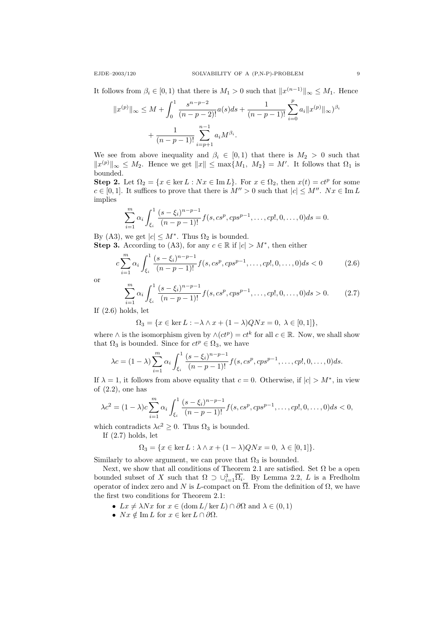It follows from  $\beta_i \in [0,1)$  that there is  $M_1 > 0$  such that  $||x^{(n-1)}||_{\infty} \leq M_1$ . Hence

$$
||x^{(p)}||_{\infty} \le M + \int_0^1 \frac{s^{n-p-2}}{(n-p-2)!} a(s) ds + \frac{1}{(n-p-1)!} \sum_{i=0}^p a_i ||x^{(p)}||_{\infty} \Big)^{\beta_i}
$$
  
+ 
$$
\frac{1}{(n-p-1)!} \sum_{i=p+1}^{n-1} a_i M^{\beta_i}.
$$

We see from above inequality and  $\beta_i \in [0,1)$  that there is  $M_2 > 0$  such that  $||x^{(p)}||_{\infty} \leq M_2$ . Hence we get  $||x|| \leq \max\{M_1, M_2\} = M'$ . It follows that  $\Omega_1$  is bounded.

**Step 2.** Let  $\Omega_2 = \{x \in \text{ker } L : Nx \in \text{Im } L\}$ . For  $x \in \Omega_2$ , then  $x(t) = ct^p$  for some  $c \in [0,1]$ . It suffices to prove that there is  $M'' > 0$  such that  $|c| \le M''$ .  $Nx \in \text{Im } L$ implies

$$
\sum_{i=1}^{m} \alpha_i \int_{\xi_i}^{1} \frac{(s-\xi_i)^{n-p-1}}{(n-p-1)!} f(s, cs^p, cps^{p-1}, \dots, cp!, 0, \dots, 0) ds = 0.
$$

By (A3), we get  $|c| \leq M^*$ . Thus  $\Omega_2$  is bounded.

**Step 3.** According to (A3), for any  $c \in \mathbb{R}$  if  $|c| > M^*$ , then either

$$
c\sum_{i=1}^{m} \alpha_i \int_{\xi_i}^{1} \frac{(s-\xi_i)^{n-p-1}}{(n-p-1)!} f(s, cs^p, cps^{p-1}, \dots, cp!, 0, \dots, 0) ds < 0
$$
 (2.6)

or

$$
\sum_{i=1}^{m} \alpha_i \int_{\xi_i}^{1} \frac{(s-\xi_i)^{n-p-1}}{(n-p-1)!} f(s, cs^p, cps^{p-1}, \dots, cp!, 0, \dots, 0) ds > 0.
$$
 (2.7)

If (2.6) holds, let

$$
\Omega_3=\{x\in\ker L:-\lambda\wedge x+(1-\lambda)QNx=0,\;\lambda\in[0,1]\},
$$

where  $\wedge$  is the isomorphism given by  $\wedge (ct^p) = ct^k$  for all  $c \in \mathbb{R}$ . Now, we shall show that  $\Omega_3$  is bounded. Since for  $ct^p \in \Omega_3$ , we have

$$
\lambda c = (1 - \lambda) \sum_{i=1}^{m} \alpha_i \int_{\xi_i}^{1} \frac{(s - \xi_i)^{n-p-1}}{(n-p-1)!} f(s, cs^p, cps^{p-1}, \dots, cp!, 0, \dots, 0) ds.
$$

If  $\lambda = 1$ , it follows from above equality that  $c = 0$ . Otherwise, if  $|c| > M^*$ , in view of  $(2.2)$ , one has

$$
\lambda c^2 = (1 - \lambda)c \sum_{i=1}^m \alpha_i \int_{\xi_i}^1 \frac{(s - \xi_i)^{n-p-1}}{(n-p-1)!} f(s, cs^p, cps^{p-1}, \dots, cp!, 0, \dots, 0) ds < 0,
$$

which contradicts  $\lambda c^2 \geq 0$ . Thus  $\Omega_3$  is bounded.

If (2.7) holds, let

$$
\Omega_3 = \{ x \in \ker L : \lambda \wedge x + (1 - \lambda)QNx = 0, \ \lambda \in [0, 1] \}.
$$

Similarly to above argument, we can prove that  $\Omega_3$  is bounded.

Next, we show that all conditions of Theorem 2.1 are satisfied. Set  $\Omega$  be a open bounded subset of X such that  $\Omega \supset \cup_{i=1}^3 \overline{\Omega_i}$ . By Lemma 2.2, L is a Fredholm operator of index zero and N is L-compact on  $\overline{\Omega}$ . From the definition of  $\Omega$ , we have the first two conditions for Theorem 2.1:

- $Lx \neq \lambda Nx$  for  $x \in (\text{dom } L/\ker L) \cap \partial\Omega$  and  $\lambda \in (0,1)$
- $Nx \notin \text{Im } L$  for  $x \in \ker L \cap \partial \Omega$ .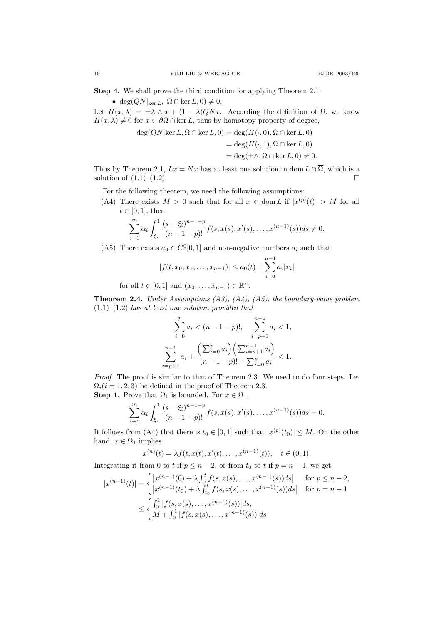Step 4. We shall prove the third condition for applying Theorem 2.1:

• deg $(QN|_{\ker L}, \Omega \cap \ker L, 0) \neq 0.$ 

Let  $H(x, \lambda) = \pm \lambda \wedge x + (1 - \lambda)QNx$ . According the definition of  $\Omega$ , we know  $H(x, \lambda) \neq 0$  for  $x \in \partial \Omega \cap \ker L$ , thus by homotopy property of degree,

$$
deg(QN|ker L, \Omega \cap ker L, 0) = deg(H(\cdot, 0), \Omega \cap ker L, 0)
$$
  
= deg(H(\cdot, 1), \Omega \cap ker L, 0)  
= deg( $\pm \wedge$ ,  $\Omega \cap \ker L, 0 \neq 0$ .

Thus by Theorem 2.1,  $Lx = Nx$  has at least one solution in dom  $L \cap \overline{\Omega}$ , which is a solution of  $(1.1)$ – $(1.2)$ .

For the following theorem, we need the following assumptions:

(A4) There exists  $M > 0$  such that for all  $x \in \text{dom } L$  if  $|x^{(p)}(t)| > M$  for all  $t \in [0, 1]$ , then

$$
\sum_{i=1}^{m} \alpha_i \int_{\xi_i}^{1} \frac{(s-\xi_i)^{n-1-p}}{(n-1-p)!} f(s, x(s), x'(s), \dots, x^{(n-1)}(s)) ds \neq 0.
$$

(A5) There exists  $a_0 \in C^0[0,1]$  and non-negative numbers  $a_i$  such that

$$
|f(t, x_0, x_1, \dots, x_{n-1})| \le a_0(t) + \sum_{i=0}^{n-1} a_i |x_i|
$$

for all  $t \in [0, 1]$  and  $(x_0, ..., x_{n-1}) \in \mathbb{R}^n$ .

**Theorem 2.4.** Under Assumptions  $(A3)$ ,  $(A4)$ ,  $(A5)$ , the boundary-value problem  $(1.1)$ – $(1.2)$  has at least one solution provided that

$$
\sum_{i=0}^{p} a_i < (n-1-p)!, \quad \sum_{i=p+1}^{n-1} a_i < 1,
$$
\n
$$
\sum_{i=p+1}^{n-1} a_i + \frac{\left(\sum_{i=0}^{p} a_i\right)\left(\sum_{i=p+1}^{n-1} a_i\right)}{(n-1-p)! - \sum_{i=0}^{p} a_i} < 1.
$$

Proof. The proof is similar to that of Theorem 2.3. We need to do four steps. Let  $\Omega_i(i = 1, 2, 3)$  be defined in the proof of Theorem 2.3. **Step 1.** Prove that  $\Omega_1$  is bounded. For  $x \in \Omega_1$ ,

$$
\sum_{i=1}^{m} \alpha_i \int_{\xi_i}^{1} \frac{(s-\xi_i)^{n-1-p}}{(n-1-p)!} f(s, x(s), x'(s), \dots, x^{(n-1)}(s)) ds = 0.
$$

It follows from (A4) that there is  $t_0 \in [0,1]$  such that  $|x^{(p)}(t_0)| \leq M$ . On the other hand,  $x \in \Omega_1$  implies

$$
x^{(n)}(t) = \lambda f(t, x(t), x'(t), \dots, x^{(n-1)}(t)), \quad t \in (0, 1).
$$

Integrating it from 0 to t if  $p \leq n-2$ , or from  $t_0$  to t if  $p = n-1$ , we get

$$
|x^{(n-1)}(t)| = \begin{cases} |x^{(n-1)}(0) + \lambda \int_0^t f(s, x(s), \dots, x^{(n-1)}(s))ds| & \text{for } p \le n-2, \\ |x^{(n-1)}(t_0) + \lambda \int_{t_0}^t f(s, x(s), \dots, x^{(n-1)}(s))ds| & \text{for } p = n-1 \end{cases}
$$
  

$$
\leq \begin{cases} \int_0^1 |f(s, x(s), \dots, x^{(n-1)}(s))|ds, \\ M + \int_0^1 |f(s, x(s), \dots, x^{(n-1)}(s))|ds \end{cases}
$$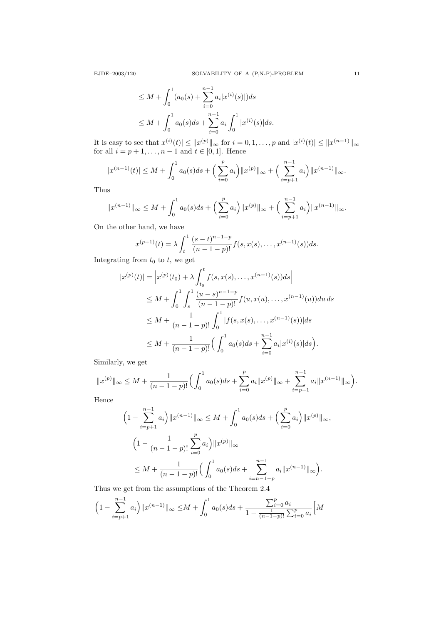$$
\leq M + \int_0^1 (a_0(s) + \sum_{i=0}^{n-1} a_i |x^{(i)}(s)|) ds
$$
  

$$
\leq M + \int_0^1 a_0(s) ds + \sum_{i=0}^{n-1} a_i \int_0^1 |x^{(i)}(s)| ds.
$$

It is easy to see that  $x^{(i)}(t) \leq ||x^{(p)}||_{\infty}$  for  $i = 0, 1, ..., p$  and  $|x^{(i)}(t)| \leq ||x^{(n-1)}||_{\infty}$ for all  $i = p + 1, ..., n - 1$  and  $t \in [0, 1]$ . Hence

$$
|x^{(n-1)}(t)| \le M + \int_0^1 a_0(s)ds + \left(\sum_{i=0}^p a_i\right) ||x^{(p)}||_{\infty} + \left(\sum_{i=p+1}^{n-1} a_i\right) ||x^{(n-1)}||_{\infty}.
$$

Thus

$$
||x^{(n-1)}||_{\infty} \le M + \int_0^1 a_0(s)ds + \left(\sum_{i=0}^p a_i\right) ||x^{(p)}||_{\infty} + \left(\sum_{i=p+1}^{n-1} a_i\right) ||x^{(n-1)}||_{\infty}.
$$

On the other hand, we have

$$
x^{(p+1)}(t) = \lambda \int_{t}^{1} \frac{(s-t)^{n-1-p}}{(n-1-p)!} f(s, x(s), \dots, x^{(n-1)}(s)) ds.
$$

Integrating from  $t_0$  to  $t$ , we get

$$
|x^{(p)}(t)| = \left| x^{(p)}(t_0) + \lambda \int_{t_0}^t f(s, x(s), \dots, x^{(n-1)}(s)) ds \right|
$$
  
\n
$$
\leq M + \int_0^1 \int_s^1 \frac{(u-s)^{n-1-p}}{(n-1-p)!} f(u, x(u), \dots, x^{(n-1)}(u)) du ds
$$
  
\n
$$
\leq M + \frac{1}{(n-1-p)!} \int_0^1 |f(s, x(s), \dots, x^{(n-1)}(s))| ds
$$
  
\n
$$
\leq M + \frac{1}{(n-1-p)!} \Big( \int_0^1 a_0(s) ds + \sum_{i=0}^{n-1} a_i |x^{(i)}(s)| ds \Big).
$$

Similarly, we get

$$
||x^{(p)}||_{\infty} \leq M + \frac{1}{(n-1-p)!} \Big( \int_0^1 a_0(s) ds + \sum_{i=0}^p a_i ||x^{(p)}||_{\infty} + \sum_{i=p+1}^{n-1} a_i ||x^{(n-1)}||_{\infty} \Big).
$$

Hence

$$
\left(1 - \sum_{i=p+1}^{n-1} a_i\right) \|x^{(n-1)}\|_{\infty} \le M + \int_0^1 a_0(s)ds + \left(\sum_{i=0}^p a_i\right) \|x^{(p)}\|_{\infty},
$$
  

$$
\left(1 - \frac{1}{(n-1-p)!} \sum_{i=0}^p a_i\right) \|x^{(p)}\|_{\infty}
$$
  

$$
\le M + \frac{1}{(n-1-p)!} \left(\int_0^1 a_0(s)ds + \sum_{i=n-1-p}^{n-1} a_i \|x^{(n-1)}\|_{\infty}\right).
$$

Thus we get from the assumptions of the Theorem 2.4

$$
\left(1 - \sum_{i=p+1}^{n-1} a_i\right) \|x^{(n-1)}\|_{\infty} \le M + \int_0^1 a_0(s)ds + \frac{\sum_{i=0}^p a_i}{1 - \frac{1}{(n-1-p)!} \sum_{i=0}^p a_i} \left[M\left(\frac{a_i}{1 - \sum_{i=0}^p a_i}\right) + \frac{1}{(n-1-p)!} \sum_{i=0}^p a_i\right]
$$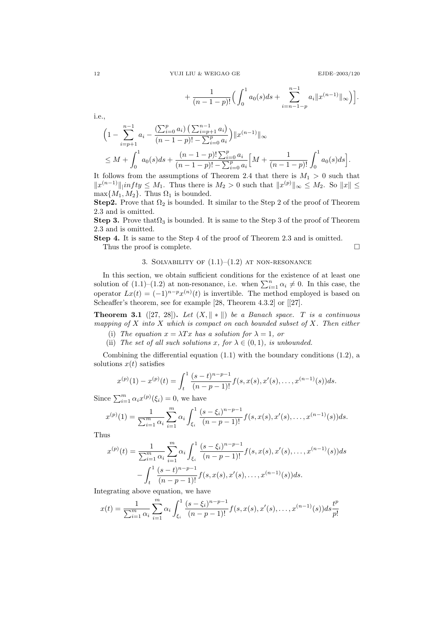$$
+\frac{1}{(n-1-p)!}\Big(\int_0^1a_0(s)ds+\sum_{i=n-1-p}^{n-1}a_i\|x^{(n-1)}\|_{\infty}\Big)\Big].
$$

i.e.,

$$
\left(1 - \sum_{i=p+1}^{n-1} a_i - \frac{\left(\sum_{i=0}^p a_i\right)\left(\sum_{i=p+1}^{n-1} a_i\right)}{(n-1-p)! - \sum_{i=0}^p a_i}\right) ||x^{(n-1)}||_{\infty}
$$
\n
$$
\leq M + \int_0^1 a_0(s)ds + \frac{(n-1-p)! \sum_{i=0}^p a_i}{(n-1-p)! - \sum_{i=0}^p a_i} \left[M + \frac{1}{(n-1-p)!} \int_0^1 a_0(s)ds\right].
$$

It follows from the assumptions of Theorem 2.4 that there is  $M_1 > 0$  such that  $||x^{(n-1)}||$  infty  $\leq M_1$ . Thus there is  $M_2 > 0$  such that  $||x^{(p)}||_{\infty} \leq M_2$ . So  $||x|| \leq$  $\max\{M_1, M_2\}$ . Thus  $\Omega_1$  is bounded.

Step2. Prove that  $\Omega_2$  is bounded. It similar to the Step 2 of the proof of Theorem 2.3 and is omitted.

Step 3. Prove that  $\Omega_3$  is bounded. It is same to the Step 3 of the proof of Theorem 2.3 and is omitted.

Step 4. It is same to the Step 4 of the proof of Theorem 2.3 and is omitted.

Thus the proof is complete.  $\Box$ 

3. SOLVABILITY OF  $(1.1)$ – $(1.2)$  at non-resonance

In this section, we obtain sufficient conditions for the existence of at least one solution of  $(1.1)$ – $(1.2)$  at non-resonance, i.e. when  $\sum_{i=1}^{n} \alpha_i \neq 0$ . In this case, the operator  $Lx(t) = (-1)^{n-p}x^{(n)}(t)$  is invertible. The method employed is based on Scheaffer's theorem, see for example [28, Theorem 4.3.2] or [[27].

**Theorem 3.1** ([27, 28]). Let  $(X, \|\cdot\|)$  be a Banach space. T is a continuous mapping of X into X which is compact on each bounded subset of X. Then either

- (i) The equation  $x = \lambda Tx$  has a solution for  $\lambda = 1$ , or
- (ii) The set of all such solutions x, for  $\lambda \in (0,1)$ , is unbounded.

Combining the differential equation  $(1.1)$  with the boundary conditions  $(1.2)$ , a solutions  $x(t)$  satisfies

$$
x^{(p)}(1) - x^{(p)}(t) = \int_t^1 \frac{(s-t)^{n-p-1}}{(n-p-1)!} f(s, x(s), x'(s), \dots, x^{(n-1)}(s)) ds.
$$

Since  $\sum_{i=1}^{m} \alpha_i x^{(p)}(\xi_i) = 0$ , we have

$$
x^{(p)}(1) = \frac{1}{\sum_{i=1}^{m} \alpha_i} \sum_{i=1}^{m} \alpha_i \int_{\xi_i}^{1} \frac{(s-\xi_i)^{n-p-1}}{(n-p-1)!} f(s, x(s), x'(s), \dots, x^{(n-1)}(s)) ds.
$$

Thus

$$
x^{(p)}(t) = \frac{1}{\sum_{i=1}^{m} \alpha_i} \sum_{i=1}^{m} \alpha_i \int_{\xi_i}^{1} \frac{(s - \xi_i)^{n-p-1}}{(n-p-1)!} f(s, x(s), x'(s), \dots, x^{(n-1)}(s)) ds
$$

$$
- \int_{t}^{1} \frac{(s-t)^{n-p-1}}{(n-p-1)!} f(s, x(s), x'(s), \dots, x^{(n-1)}(s)) ds.
$$

Integrating above equation, we have

$$
x(t) = \frac{1}{\sum_{i=1}^{m} \alpha_i} \sum_{i=1}^{m} \alpha_i \int_{\xi_i}^{1} \frac{(s - \xi_i)^{n-p-1}}{(n-p-1)!} f(s, x(s), x'(s), \dots, x^{(n-1)}(s)) ds \frac{t^p}{p!}
$$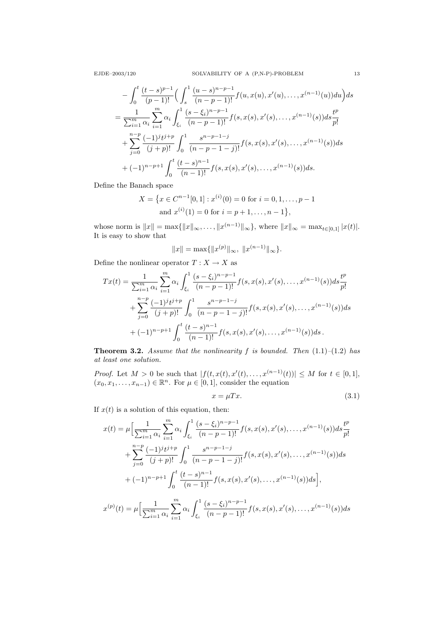$$
-\int_{0}^{t} \frac{(t-s)^{p-1}}{(p-1)!} \Big( \int_{s}^{1} \frac{(u-s)^{n-p-1}}{(n-p-1)!} f(u, x(u), x'(u), \dots, x^{(n-1)}(u)) du \Big) ds
$$
  

$$
=\frac{1}{\sum_{i=1}^{m} \alpha_{i}} \sum_{i=1}^{m} \alpha_{i} \int_{\xi_{i}}^{1} \frac{(s-\xi_{i})^{n-p-1}}{(n-p-1)!} f(s, x(s), x'(s), \dots, x^{(n-1)}(s)) ds \frac{t^{p}}{p!}
$$
  

$$
+\sum_{j=0}^{n-p} \frac{(-1)^{j} t^{j+p}}{(j+p)!} \int_{0}^{1} \frac{s^{n-p-1-j}}{(n-p-1-j)!} f(s, x(s), x'(s), \dots, x^{(n-1)}(s)) ds
$$
  

$$
+ (-1)^{n-p+1} \int_{0}^{t} \frac{(t-s)^{n-1}}{(n-1)!} f(s, x(s), x'(s), \dots, x^{(n-1)}(s)) ds.
$$

Define the Banach space

$$
X = \{x \in C^{n-1}[0,1] : x^{(i)}(0) = 0 \text{ for } i = 0, 1, \dots, p-1
$$
  
and 
$$
x^{(i)}(1) = 0 \text{ for } i = p+1, \dots, n-1\},\
$$

whose norm is  $||x|| = \max{||x||_{\infty}, \ldots, ||x^{(n-1)}||_{\infty}}$ , where  $||x||_{\infty} = \max_{t \in [0,1]} |x(t)|$ . It is easy to show that

$$
||x|| = \max{||x^{(p)}||_{\infty}, ||x^{(n-1)}||_{\infty}}.
$$

Define the nonlinear operator  $T : X \to X$  as

$$
Tx(t) = \frac{1}{\sum_{i=1}^{m} \alpha_i} \sum_{i=1}^{m} \alpha_i \int_{\xi_i}^{1} \frac{(s - \xi_i)^{n-p-1}}{(n-p-1)!} f(s, x(s), x'(s), \dots, x^{(n-1)}(s)) ds \frac{t^p}{p!} + \sum_{j=0}^{n-p} \frac{(-1)^j t^{j+p}}{(j+p)!} \int_0^1 \frac{s^{n-p-1-j}}{(n-p-1-j)!} f(s, x(s), x'(s), \dots, x^{(n-1)}(s)) ds + (-1)^{n-p+1} \int_0^t \frac{(t-s)^{n-1}}{(n-1)!} f(s, x(s), x'(s), \dots, x^{(n-1)}(s)) ds.
$$

**Theorem 3.2.** Assume that the nonlinearity f is bounded. Then  $(1.1)$ – $(1.2)$  has at least one solution.

*Proof.* Let  $M > 0$  be such that  $|f(t, x(t), x'(t), \ldots, x^{(n-1)}(t))| \leq M$  for  $t \in [0, 1]$ ,  $(x_0, x_1, \ldots, x_{n-1}) \in \mathbb{R}^n$ . For  $\mu \in [0, 1]$ , consider the equation

$$
x = \mu Tx. \tag{3.1}
$$

If  $x(t)$  is a solution of this equation, then:

$$
x(t) = \mu \Big[ \frac{1}{\sum_{i=1}^{m} \alpha_i} \sum_{i=1}^{m} \alpha_i \int_{\xi_i}^{1} \frac{(s - \xi_i)^{n-p-1}}{(n-p-1)!} f(s, x(s), x'(s), \dots, x^{(n-1)}(s)) ds \frac{t^p}{p!} + \sum_{j=0}^{n-p} \frac{(-1)^j t^{j+p}}{(j+p)!} \int_0^1 \frac{s^{n-p-1-j}}{(n-p-1-j)!} f(s, x(s), x'(s), \dots, x^{(n-1)}(s)) ds + (-1)^{n-p+1} \int_0^t \frac{(t-s)^{n-1}}{(n-1)!} f(s, x(s), x'(s), \dots, x^{(n-1)}(s)) ds \Big],
$$

$$
x^{(p)}(t) = \mu \Big[ \frac{1}{\sum_{i=1}^{m} \alpha_i} \sum_{i=1}^{m} \alpha_i \int_{\xi_i}^{1} \frac{(s-\xi_i)^{n-p-1}}{(n-p-1)!} f(s, x(s), x'(s), \dots, x^{(n-1)}(s)) ds
$$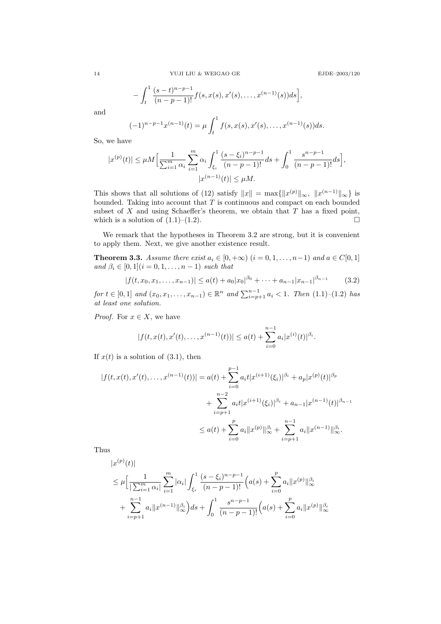$$
-\int_t^1\frac{(s-t)^{n-p-1}}{(n-p-1)!}f(s,x(s),x'(s),\ldots,x^{(n-1)}(s))ds\Big],
$$

and

$$
(-1)^{n-p-1}x^{(n-1)}(t) = \mu \int_t^1 f(s, x(s), x'(s), \dots, x^{(n-1)}(s))ds.
$$

So, we have

$$
|x^{(p)}(t)| \le \mu M \Big[ \frac{1}{\sum_{i=1}^m \alpha_i} \sum_{i=1}^m \alpha_i \int_{\xi_i}^1 \frac{(s-\xi_i)^{n-p-1}}{(n-p-1)!} ds + \int_0^1 \frac{s^{n-p-1}}{(n-p-1)!} ds \Big],
$$
  

$$
|x^{(n-1)}(t)| \le \mu M.
$$

This shows that all solutions of (12) satisfy  $||x|| = \max{||x^{(p)}||_{\infty}, ||x^{(n-1)}||_{\infty}}$  is bounded. Taking into account that  $T$  is continuous and compact on each bounded subset of  $X$  and using Schaeffer's theorem, we obtain that  $T$  has a fixed point, which is a solution of  $(1.1)$ – $(1.2)$ .

We remark that the hypotheses in Theorem 3.2 are strong, but it is convenient to apply them. Next, we give another existence result.

**Theorem 3.3.** Assume there exist  $a_i \in [0, +\infty)$   $(i = 0, 1, \ldots, n-1)$  and  $a \in C[0, 1]$ and  $\beta_i \in [0, 1]$   $(i = 0, 1, \ldots, n - 1)$  such that

$$
|f(t, x_0, x_1, \dots, x_{n-1})| \le a(t) + a_0 |x_0|^{\beta_0} + \dots + a_{n-1} |x_{n-1}|^{\beta_{n-1}} \tag{3.2}
$$

for  $t \in [0,1]$  and  $(x_0, x_1, \ldots, x_{n-1}) \in \mathbb{R}^n$  and  $\sum_{i=p+1}^{n-1} a_i < 1$ . Then  $(1.1)-(1.2)$  has at least one solution.

*Proof.* For  $x \in X$ , we have

$$
|f(t, x(t), x'(t), \dots, x^{(n-1)}(t))| \le a(t) + \sum_{i=0}^{n-1} a_i |x^{(i)}(t)|^{\beta_i}.
$$

If  $x(t)$  is a solution of (3.1), then

$$
|f(t, x(t), x'(t), \dots, x^{(n-1)}(t))| = a(t) + \sum_{i=0}^{p-1} a_i t |x^{(i+1)}(\xi_i)|^{\beta_i} + a_p |x^{(p)}(t)|^{\beta_p}
$$
  
+ 
$$
\sum_{i=p+1}^{n-2} a_i t |x^{(i+1)}(\xi_i)|^{\beta_i} + a_{n-1} |x^{(n-1)}(t)|^{\beta_{n-1}}
$$
  

$$
\leq a(t) + \sum_{i=0}^{p} a_i ||x^{(p)}||_{\infty}^{\beta_i} + \sum_{i=p+1}^{n-1} a_i ||x^{(n-1)}||_{\infty}^{\beta_i}.
$$

Thus

$$
|x^{(p)}(t)|
$$
  
\n
$$
\leq \mu \Big[ \frac{1}{|\sum_{i=1}^{m} \alpha_i|} \sum_{i=1}^{m} |\alpha_i| \int_{\xi_i}^{1} \frac{(s - \xi_i)^{n-p-1}}{(n-p-1)!} \Big( a(s) + \sum_{i=0}^{p} a_i \|x^{(p)}\|_{\infty}^{\beta_i}
$$
  
\n
$$
+ \sum_{i=p+1}^{n-1} a_i \|x^{(n-1)}\|_{\infty}^{\beta_i} ds + \int_{0}^{1} \frac{s^{n-p-1}}{(n-p-1)!} \Big( a(s) + \sum_{i=0}^{p} a_i \|x^{(p)}\|_{\infty}^{\beta_i}
$$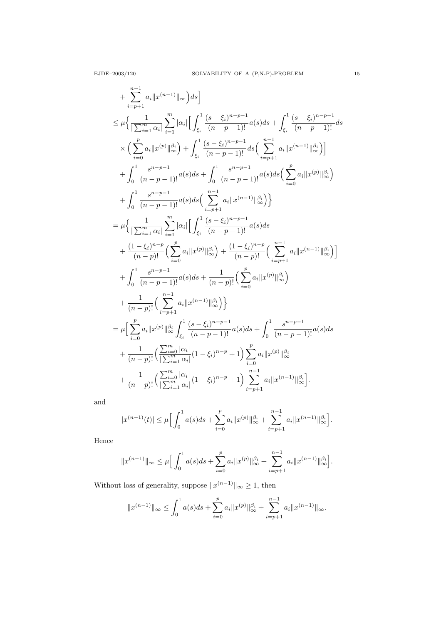$$
+ \sum_{i=p+1}^{n-1} a_i ||x^{(n-1)}||_{\infty} ds] \n\leq \mu \Big\{ \frac{1}{|\sum_{i=1}^{m} \alpha_i|} \sum_{i=1}^{m} |\alpha_i| \Big[ \int_{\xi_i}^{1} \frac{(s-\xi_i)^{n-p-1}}{(n-p-1)!} a(s) ds + \int_{\xi_i}^{1} \frac{(s-\xi_i)^{n-p-1}}{(n-p-1)!} ds \Big] \n\times \Big( \sum_{i=0}^{p} a_i ||x^{(p)}||_{\infty}^{\beta_i} \Big) + \int_{\xi_i}^{1} \frac{(s-\xi_i)^{n-p-1}}{(n-p-1)!} ds \Big( \sum_{i=p+1}^{n-1} a_i ||x^{(n-1)}||_{\infty}^{\beta_i} \Big) \Big] \n+ \int_{0}^{1} \frac{s^{n-p-1}}{(n-p-1)!} a(s) ds + \int_{0}^{1} \frac{s^{n-p-1}}{(n-p-1)!} a(s) ds \Big( \sum_{i=0}^{p} a_i ||x^{(p)}||_{\infty}^{\beta_i} \Big) \n+ \int_{0}^{1} \frac{s^{n-p-1}}{(n-p-1)!} a(s) ds \Big[ \sum_{i=p+1}^{n-1} a_i ||x^{(n-1)}||_{\infty}^{\beta_i} \Big) \Big\} \n= \mu \Big\{ \frac{1}{|\sum_{i=1}^{m} \alpha_i|} \sum_{i=1}^{m} |\alpha_i| \Big[ \int_{\xi_i}^{1} \frac{(s-\xi_i)^{n-p-1}}{(n-p-1)!} a(s) ds \Big. \n+ \frac{(1-\xi_i)^{n-p}}{(n-p)!} \Big( \sum_{i=0}^{p} a_i ||x^{(p)}||_{\infty}^{\beta_i} \Big) + \frac{(1-\xi_i)^{n-p}}{(n-p)!} \Big( \sum_{i=p+1}^{n-1} a_i ||x^{(n-1)}||_{\infty}^{\beta_i} \Big) \Big] \n+ \int_{0}^{1} \frac{s^{n-p-1}}{(n-p-1)!} a(s) ds + \frac{1}{(n-p)!} \Big( \sum_{i=0}^{p} a_i ||x^{(p)}||_{\infty}^{\beta_i} \Big) \n+ \frac{1}{(n-p)!} \Big( \sum_{i=p+1}^{n-1} a
$$

and

$$
|x^{(n-1)}(t)| \leq \mu \Big[ \int_0^1 a(s)ds + \sum_{i=0}^p a_i \|x^{(p)}\|_{\infty}^{\beta_i} + \sum_{i=p+1}^{n-1} a_i \|x^{(n-1)}\|_{\infty}^{\beta_i} \Big].
$$

Hence

$$
||x^{(n-1)}||_{\infty} \leq \mu \Big[ \int_0^1 a(s)ds + \sum_{i=0}^p a_i ||x^{(p)}||_{\infty}^{\beta_i} + \sum_{i=p+1}^{n-1} a_i ||x^{(n-1)}||_{\infty}^{\beta_i} \Big].
$$

Without loss of generality, suppose  $||x^{(n-1)}||_{\infty} \ge 1$ , then

$$
||x^{(n-1)}||_{\infty} \leq \int_0^1 a(s)ds + \sum_{i=0}^p a_i ||x^{(p)}||_{\infty}^{\beta_i} + \sum_{i=p+1}^{n-1} a_i ||x^{(n-1)}||_{\infty}.
$$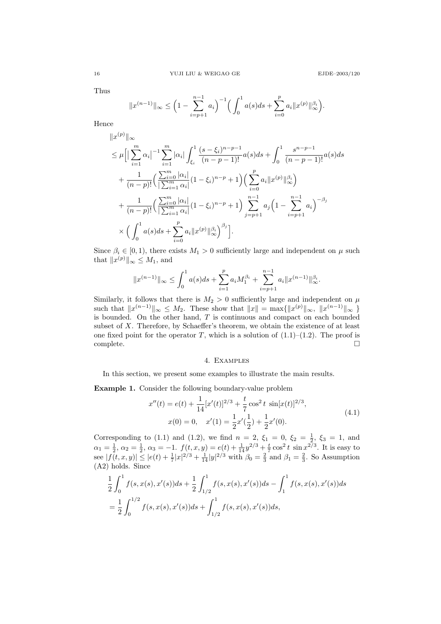Thus

$$
||x^{(n-1)}||_{\infty} \leq \left(1 - \sum_{i=p+1}^{n-1} a_i\right)^{-1} \left(\int_0^1 a(s)ds + \sum_{i=0}^p a_i ||x^{(p)}||_{\infty}^{\beta_i}\right).
$$

Hence

$$
||x^{(p)}||_{\infty}
$$
  
\n
$$
\leq \mu \Big[ \Big| \sum_{i=1}^{m} \alpha_i \Big|^{-1} \sum_{i=1}^{m} |\alpha_i| \int_{\xi_i}^{1} \frac{(s-\xi_i)^{n-p-1}}{(n-p-1)!} a(s) ds + \int_{0}^{1} \frac{s^{n-p-1}}{(n-p-1)!} a(s) ds
$$
  
\n
$$
+ \frac{1}{(n-p)!} \Big( \frac{\sum_{i=0}^{m} |\alpha_i|}{|\sum_{i=1}^{m} \alpha_i|} (1-\xi_i)^{n-p} + 1 \Big) \Big( \sum_{i=0}^{p} a_i ||x^{(p)}||_{\infty}^{\beta_i} \Big)
$$
  
\n
$$
+ \frac{1}{(n-p)!} \Big( \frac{\sum_{i=0}^{m} |\alpha_i|}{|\sum_{i=1}^{m} \alpha_i|} (1-\xi_i)^{n-p} + 1 \Big) \sum_{j=p+1}^{n-1} a_j \Big( 1 - \sum_{i=p+1}^{n-1} a_i \Big)^{-\beta_j}
$$
  
\n
$$
\times \Big( \int_{0}^{1} a(s) ds + \sum_{i=0}^{p} a_i ||x^{(p)}||_{\infty}^{\beta_i} \Big)^{\beta_j} \Big].
$$

Since  $\beta_i \in [0, 1)$ , there exists  $M_1 > 0$  sufficiently large and independent on  $\mu$  such that  $||x^{(p)}||_{\infty} \leq M_1$ , and

$$
||x^{(n-1)}||_{\infty} \le \int_0^1 a(s)ds + \sum_{i=1}^p a_i M_1^{\beta_i} + \sum_{i=p+1}^{n-1} a_i ||x^{(n-1)}||_{\infty}^{\beta_i}.
$$

Similarly, it follows that there is  $M_2 > 0$  sufficiently large and independent on  $\mu$ such that  $||x^{(n-1)}||_{\infty} \leq M_2$ . These show that  $||x|| = \max{||x^{(p)}||_{\infty}, ||x^{(n-1)}||_{\infty}}$ is bounded. On the other hand, T is continuous and compact on each bounded subset of X. Therefore, by Schaeffer's theorem, we obtain the existence of at least one fixed point for the operator T, which is a solution of  $(1.1)$ – $(1.2)$ . The proof is complete.  $\hfill \square$ 

## 4. Examples

In this section, we present some examples to illustrate the main results.

Example 1. Consider the following boundary-value problem

$$
x''(t) = e(t) + \frac{1}{14} [x'(t)]^{2/3} + \frac{t}{7} \cos^2 t \sin[x(t)]^{2/3},
$$
  
\n
$$
x(0) = 0, \quad x'(1) = \frac{1}{2} x'(\frac{1}{2}) + \frac{1}{2} x'(0).
$$
\n(4.1)

Corresponding to (1.1) and (1.2), we find  $n = 2, \xi_1 = 0, \xi_2 = \frac{1}{2}, \xi_3 = 1$ , and  $\alpha_1 = \frac{1}{2}, \, \alpha_2 = \frac{1}{2}, \, \alpha_3 = -1. \, f(t, x, y) = e(t) + \frac{1}{14}y^{2/3} + \frac{t}{7}\cos^2 t \, \sin x^{2/3}$ . It is easy to see  $|f(t, x, y)| \le |e(t) + \frac{1}{7}|x|^{2/3} + \frac{1}{14}|y|^{2/3}$  with  $\beta_0 = \frac{2}{3}$  and  $\beta_1 = \frac{2}{3}$ . So Assumption (A2) holds. Since

$$
\frac{1}{2} \int_0^1 f(s, x(s), x'(s)) ds + \frac{1}{2} \int_{1/2}^1 f(s, x(s), x'(s)) ds - \int_1^1 f(s, x(s), x'(s)) ds \n= \frac{1}{2} \int_0^{1/2} f(s, x(s), x'(s)) ds + \int_{1/2}^1 f(s, x(s), x'(s)) ds,
$$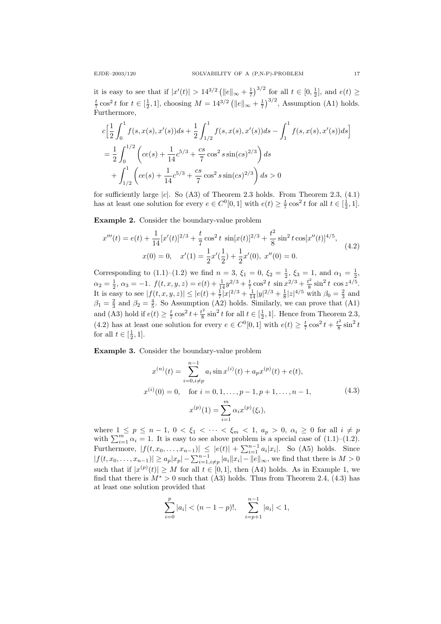it is easy to see that if  $|x'(t)| > 14^{3/2} (\|e\|_{\infty} + \frac{1}{7})^{3/2}$  for all  $t \in [0, \frac{1}{2}]$ , and  $e(t) \ge$  $\frac{t}{7}$  cos<sup>2</sup> t for  $t \in [\frac{1}{2}, 1]$ , choosing  $M = 14^{3/2} (\|e\|_{\infty} + \frac{1}{7})^{3/2}$ , Assumption (A1) holds. Furthermore,

$$
c\left[\frac{1}{2}\int_{0}^{1}f(s,x(s),x'(s))ds + \frac{1}{2}\int_{1/2}^{1}f(s,x(s),x'(s))ds - \int_{1}^{1}f(s,x(s),x'(s))ds\right]
$$
  
=  $\frac{1}{2}\int_{0}^{1/2}\left(ce(s) + \frac{1}{14}c^{5/3} + \frac{cs}{7}\cos^{2}s\sin(cs)^{2/3}\right)ds$   
+  $\int_{1/2}^{1}\left(ce(s) + \frac{1}{14}c^{5/3} + \frac{cs}{7}\cos^{2}s\sin(cs)^{2/3}\right)ds > 0$ 

for sufficiently large  $|c|$ . So  $(A3)$  of Theorem 2.3 holds. From Theorem 2.3,  $(4.1)$ has at least one solution for every  $e \in C<sup>0</sup>[0,1]$  with  $e(t) \geq \frac{t}{7} \cos^2 t$  for all  $t \in [\frac{1}{2},1]$ .

Example 2. Consider the boundary-value problem

$$
x'''(t) = e(t) + \frac{1}{14} [x'(t)]^{2/3} + \frac{t}{7} \cos^2 t \sin[x(t)]^{2/3} + \frac{t^2}{8} \sin^2 t \cos[x''(t)]^{4/5},
$$
  
\n
$$
x(0) = 0, \quad x'(1) = \frac{1}{2} x'(\frac{1}{2}) + \frac{1}{2} x'(0), \quad x''(0) = 0.
$$
\n(4.2)

Corresponding to (1.1)–(1.2) we find  $n = 3$ ,  $\xi_1 = 0$ ,  $\xi_2 = \frac{1}{2}$ ,  $\xi_3 = 1$ , and  $\alpha_1 = \frac{1}{2}$ ,  $\alpha_2 = \frac{1}{2}, \, \alpha_3 = -1. \, f(t, x, y, z) = e(t) + \frac{1}{14}y^{2/3} + \frac{t}{7}\cos^2 t \, \sin x^{2/3} + \frac{t^2}{8}$  $\frac{t^2}{8} \sin^2 t \cos z^{4/5}$ . It is easy to see  $|f(t, x, y, z)| \le |e(t) + \frac{1}{7}|x|^{2/3} + \frac{1}{14}|y|^{2/3} + \frac{1}{8}|z|^{4/5}$  with  $\beta_0 = \frac{2}{3}$  and  $\beta_1 = \frac{2}{3}$  and  $\beta_2 = \frac{4}{5}$ . So Assumption (A2) holds. Similarly, we can prove that (A1) and (A3) hold if  $e(t) \geq \frac{t}{7} \cos^2 t + \frac{t^2}{8}$  $\frac{t^2}{8}$  sin<sup>2</sup> t for all  $t \in [\frac{1}{2}, 1]$ . Hence from Theorem 2.3, (4.2) has at least one solution for every  $e \in C^{0}[0,1]$  with  $e(t) \geq \frac{t}{7} \cos^{2} t + \frac{t^{2}}{8}$  $\frac{t^2}{8} \sin^2 t$ for all  $t \in [\frac{1}{2}, 1]$ .

Example 3. Consider the boundary-value problem

$$
x^{(n)}(t) = \sum_{i=0, i \neq p}^{n-1} a_i \sin x^{(i)}(t) + a_p x^{(p)}(t) + e(t),
$$
  
\n
$$
x^{(i)}(0) = 0, \quad \text{for } i = 0, 1, ..., p-1, p+1, ..., n-1,
$$
  
\n
$$
x^{(p)}(1) = \sum_{i=1}^{m} \alpha_i x^{(p)}(\xi_i),
$$
\n(4.3)

where  $1 \leq p \leq n-1$ ,  $0 < \xi_1 < \cdots < \xi_m < 1$ ,  $a_p > 0$ ,  $\alpha_i \geq 0$  for all  $i \neq p$ with  $\sum_{i=1}^{m} \alpha_i = 1$ . It is easy to see above problem is a special case of  $(1.1)$ – $(1.2)$ . Furthermore,  $|f(t, x_0, ..., x_{n-1})| \le |e(t)| + \sum_{i=1}^{n-1} a_i |x_i|$ . So (A5) holds. Since  $|f(t, x_0, \ldots, x_{n-1})| \ge a_p |x_p| - \sum_{i=1, i \ne p}^{n-1} |a_i||x_i| - ||e||_{\infty}$ , we find that there is  $M > 0$ such that if  $|x^{(p)}(t)| \geq M$  for all  $t \in [0,1]$ , then (A4) holds. As in Example 1, we find that there is  $M^* > 0$  such that (A3) holds. Thus from Theorem 2.4, (4.3) has at least one solution provided that

$$
\sum_{i=0}^{p} |a_i| < (n-1-p)!, \quad \sum_{i=p+1}^{n-1} |a_i| < 1,
$$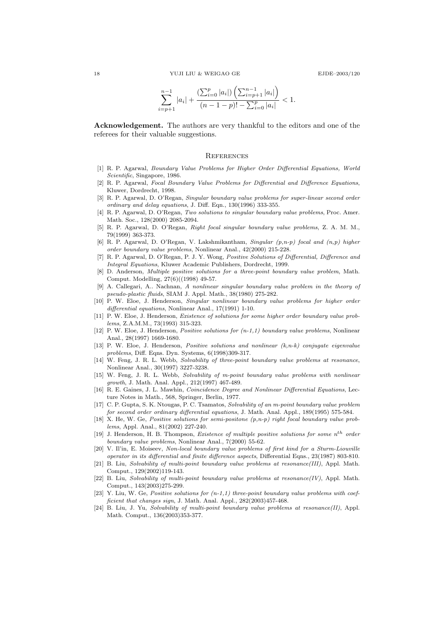$$
\sum_{i=p+1}^{n-1} |a_i| + \frac{\left(\sum_{i=0}^p |a_i|\right)\left(\sum_{i=p+1}^{n-1} |a_i|\right)}{(n-1-p)! - \sum_{i=0}^p |a_i|} < 1.
$$

Acknowledgement. The authors are very thankful to the editors and one of the referees for their valuable suggestions.

#### **REFERENCES**

- [1] R. P. Agarwal, Boundary Value Problems for Higher Order Differential Equations, World Scientific, Singapore, 1986.
- [2] R. P. Agarwal, Focal Boundary Value Problems for Differential and Difference Equations, Kluwer, Dordrecht, 1998.
- [3] R. P. Agarwal, D. O'Regan, Singular boundary value problems for super-linear second order ordinary and delay equations, J. Diff. Eqn., 130(1996) 333-355.
- [4] R. P. Agarwal, D. O'Regan, Two solutions to singular boundary value problems, Proc. Amer. Math. Soc., 128(2000) 2085-2094.
- [5] R. P. Agarwal, D. O'Regan, Right focal singular boundary value problems, Z. A. M. M., 79(1999) 363-373.
- [6] R. P. Agarwal, D. O'Regan, V. Lakshmikantham, Singular  $(p, n-p)$  focal and  $(n, p)$  higher order boundary value problems, Nonlinear Anal., 42(2000) 215-228.
- [7] R. P. Agarwal, D. O'Regan, P. J. Y. Wong, Positive Solutions of Differential, Difference and Integral Equations, Kluwer Academic Publishers, Dordrecht, 1999.
- [8] D. Anderson, Multiple positive solutions for a three-point boundary value problem, Math. Comput. Modelling, 27(6)((1998) 49-57.
- [9] A. Callegari, A.. Nachnan, A nonlinear singular boundary value problem in the theory of pseudo-plastic fluids, SIAM J. Appl. Math., 38(1980) 275-282.
- [10] P. W. Eloe, J. Henderson, Singular nonlinear boundary value problems for higher order differential equations, Nonlinear Anal., 17(1991) 1-10.
- [11] P. W. Eloe, J. Henderson, Existence of solutions for some higher order boundary value problems, Z.A.M.M., 73(1993) 315-323.
- [12] P. W. Eloe, J. Henderson, Positive solutions for (n-1,1) boundary value problems, Nonlinear Anal., 28(1997) 1669-1680.
- [13] P. W. Eloe, J. Henderson, Positive solutions and nonlinear  $(k,n-k)$  conjugate eigenvalue problems, Diff. Eqns. Dyn. Systems, 6(1998)309-317.
- [14] W. Feng, J. R. L. Webb, Solvability of three-point boundary value problems at resonance, Nonlinear Anal., 30(1997) 3227-3238.
- [15] W. Feng, J. R. L. Webb, Solvability of m-point boundary value problems with nonlinear growth, J. Math. Anal. Appl., 212(1997) 467-489.
- [16] R. E. Gaines, J. L. Mawhin, Coincidence Degree and Nonlinear Differential Equations, Lecture Notes in Math., 568, Springer, Berlin, 1977.
- [17] C. P. Gupta, S. K. Ntougas, P. C. Tsamatos, Solvability of an m-point boundary value problem for second order ordinary differential equations, J. Math. Anal. Appl., 189(1995) 575-584.
- [18] X. He, W. Ge, Positive solutions for semi-positone (p,n-p) right focal boundary value problems, Appl. Anal., 81(2002) 227-240.
- [19] J. Henderson, H. B. Thompson, *Existence of multiple positive solutions for some n<sup>th</sup> order* boundary value problems, Nonlinear Anal., 7(2000) 55-62.
- [20] V. Il'in, E. Moiseev, Non-local boundary value problems of first kind for a Sturm-Liouville operator in its differential and finite difference aspects, Differential Eqns., 23(1987) 803-810.
- [21] B. Liu, Solvability of multi-point boundary value problems at resonance(III), Appl. Math. Comput., 129(2002)119-143.
- [22] B. Liu, Solvability of multi-point boundary value problems at  $resonance(IV)$ , Appl. Math. Comput., 143(2003)275-299.
- $[23]$  Y. Liu, W. Ge, Positive solutions for  $(n-1,1)$  three-point boundary value problems with coefficient that changes sign, J. Math. Anal. Appl., 282(2003)457-468.
- [24] B. Liu, J. Yu, Solvability of multi-point boundary value problems at resonance(II), Appl. Math. Comput., 136(2003)353-377.